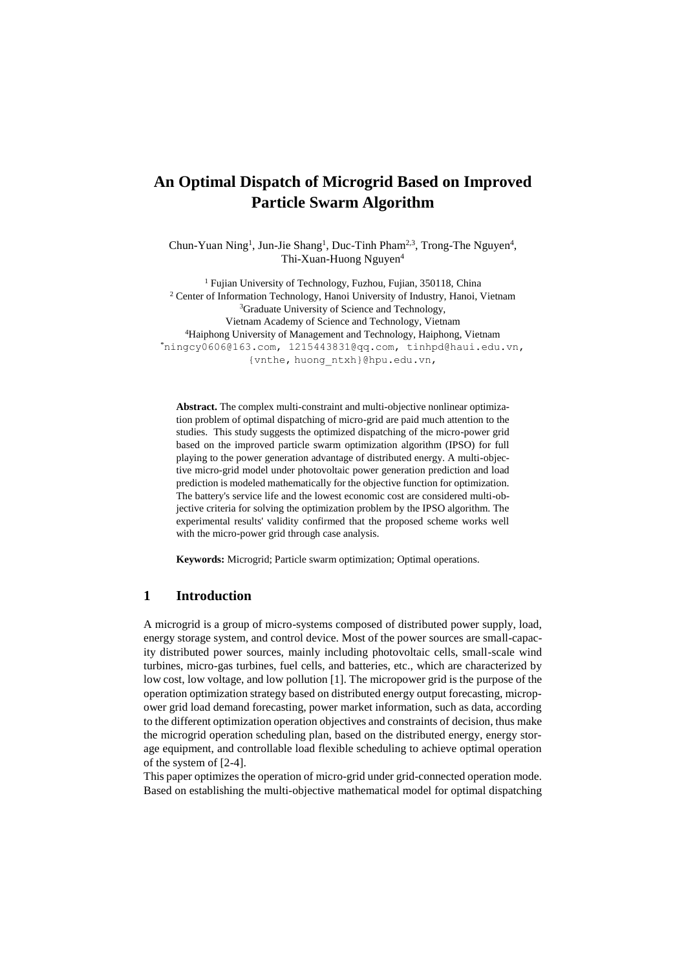# **An Optimal Dispatch of Microgrid Based on Improved Particle Swarm Algorithm**

Chun-Yuan Ning<sup>1</sup>, Jun-Jie Shang<sup>1</sup>, Duc-Tinh Pham<sup>2,3</sup>, Trong-The Nguyen<sup>4</sup>, Thi-Xuan-Huong Nguyen<sup>4</sup>

<sup>1</sup> Fujian University of Technology, Fuzhou, Fujian, 350118, China <sup>2</sup> Center of Information Technology, Hanoi University of Industry, Hanoi, Vietnam <sup>3</sup>Graduate University of Science and Technology, Vietnam Academy of Science and Technology, Vietnam <sup>4</sup>Haiphong University of Management and Technology, Haiphong, Vietnam \*[ningcy0606@163.com,](mailto:ningcy0606@163.com) [1215443831@qq.com,](mailto:1215443831@qq.com) [tinhpd@haui.edu.vn,](mailto:tinhpd@haui.edu.vn) {vnthe, [huong\\_ntxh}@hpu.edu.vn,](mailto:vnthe@hpu.edu.vn)

**Abstract.** The complex multi-constraint and multi-objective nonlinear optimization problem of optimal dispatching of micro-grid are paid much attention to the studies. This study suggests the optimized dispatching of the micro-power grid based on the improved particle swarm optimization algorithm (IPSO) for full playing to the power generation advantage of distributed energy. A multi-objective micro-grid model under photovoltaic power generation prediction and load prediction is modeled mathematically for the objective function for optimization. The battery's service life and the lowest economic cost are considered multi-objective criteria for solving the optimization problem by the IPSO algorithm. The experimental results' validity confirmed that the proposed scheme works well with the micro-power grid through case analysis.

**Keywords:** Microgrid; Particle swarm optimization; Optimal operations.

# **1 Introduction**

A microgrid is a group of micro-systems composed of distributed power supply, load, energy storage system, and control device. Most of the power sources are small-capacity distributed power sources, mainly including photovoltaic cells, small-scale wind turbines, micro-gas turbines, fuel cells, and batteries, etc., which are characterized by low cost, low voltage, and low pollution [1]. The micropower grid is the purpose of the operation optimization strategy based on distributed energy output forecasting, micropower grid load demand forecasting, power market information, such as data, according to the different optimization operation objectives and constraints of decision, thus make the microgrid operation scheduling plan, based on the distributed energy, energy storage equipment, and controllable load flexible scheduling to achieve optimal operation of the system of [2-4].

This paper optimizes the operation of micro-grid under grid-connected operation mode. Based on establishing the multi-objective mathematical model for optimal dispatching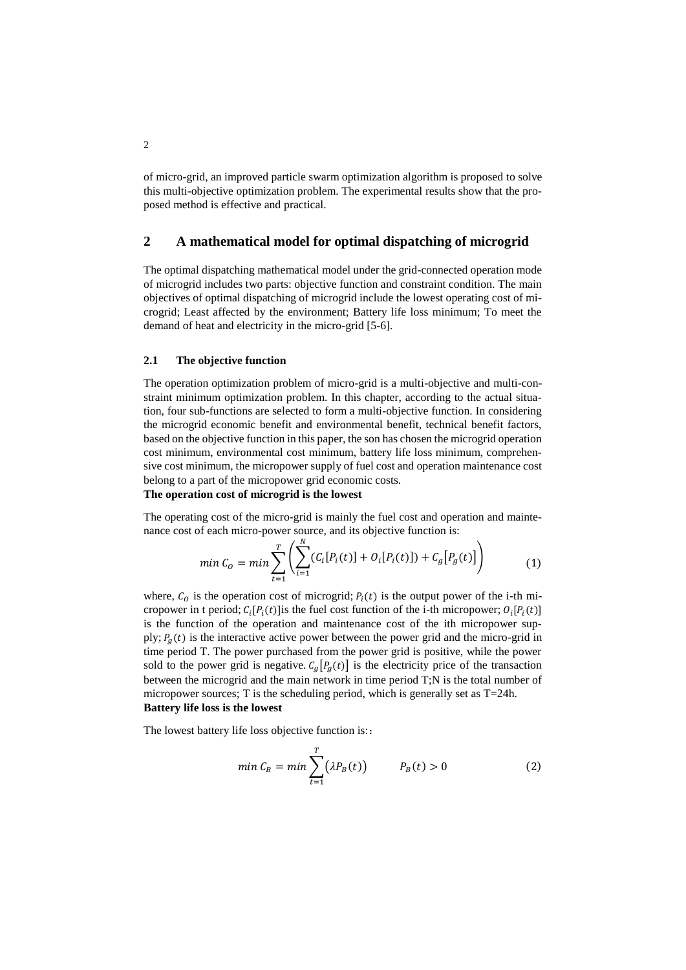of micro-grid, an improved particle swarm optimization algorithm is proposed to solve this multi-objective optimization problem. The experimental results show that the proposed method is effective and practical.

# **2 A mathematical model for optimal dispatching of microgrid**

The optimal dispatching mathematical model under the grid-connected operation mode of microgrid includes two parts: objective function and constraint condition. The main objectives of optimal dispatching of microgrid include the lowest operating cost of microgrid; Least affected by the environment; Battery life loss minimum; To meet the demand of heat and electricity in the micro-grid [5-6].

#### **2.1 The objective function**

The operation optimization problem of micro-grid is a multi-objective and multi-constraint minimum optimization problem. In this chapter, according to the actual situation, four sub-functions are selected to form a multi-objective function. In considering the microgrid economic benefit and environmental benefit, technical benefit factors, based on the objective function in this paper, the son has chosen the microgrid operation cost minimum, environmental cost minimum, battery life loss minimum, comprehensive cost minimum, the micropower supply of fuel cost and operation maintenance cost belong to a part of the micropower grid economic costs.

#### **The operation cost of microgrid is the lowest**

The operating cost of the micro-grid is mainly the fuel cost and operation and maintenance cost of each micro-power source, and its objective function is:

$$
min C_0 = min \sum_{t=1}^{T} \left( \sum_{i=1}^{N} (C_i[P_i(t)] + O_i[P_i(t)]) + C_g[P_g(t)] \right)
$$
 (1)

where,  $C_0$  is the operation cost of microgrid;  $P_i(t)$  is the output power of the i-th micropower in t period;  $C_i[P_i(t)]$  is the fuel cost function of the i-th micropower;  $O_i[P_i(t)]$ is the function of the operation and maintenance cost of the ith micropower supply;  $P_a(t)$  is the interactive active power between the power grid and the micro-grid in time period T. The power purchased from the power grid is positive, while the power sold to the power grid is negative.  $C_g[P_g(t)]$  is the electricity price of the transaction between the microgrid and the main network in time period T;N is the total number of micropower sources; T is the scheduling period, which is generally set as  $T=24h$ . **Battery life loss is the lowest**

The lowest battery life loss objective function is:

$$
min C_B = min \sum_{t=1}^{T} (\lambda P_B(t)) \qquad P_B(t) > 0
$$
 (2)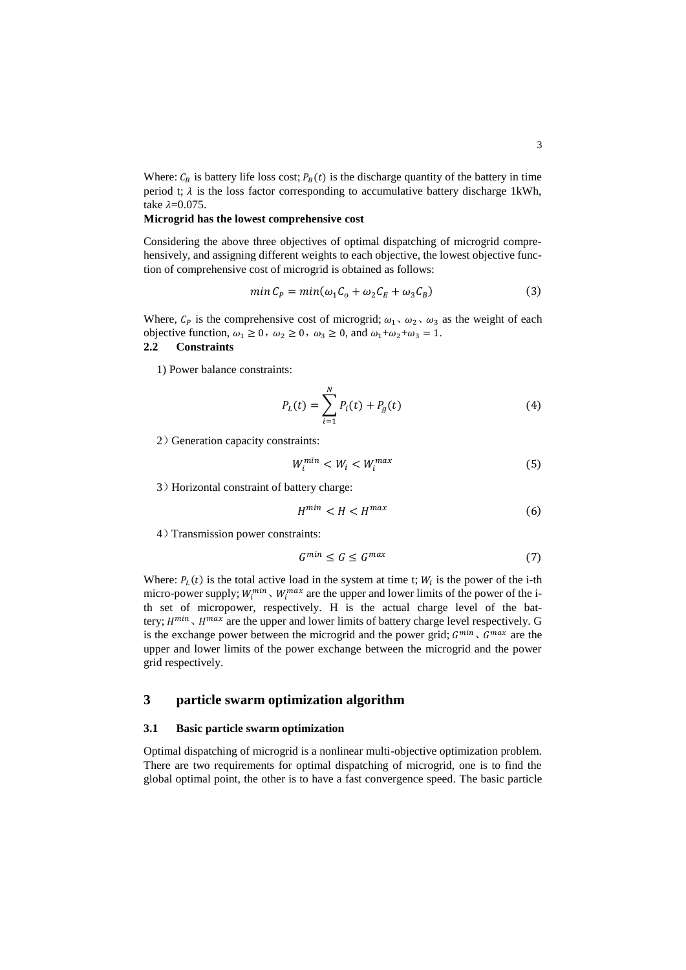Where:  $C_B$  is battery life loss cost;  $P_B(t)$  is the discharge quantity of the battery in time period t;  $\lambda$  is the loss factor corresponding to accumulative battery discharge 1kWh, take  $\lambda$ =0.075.

#### **Microgrid has the lowest comprehensive cost**

Considering the above three objectives of optimal dispatching of microgrid comprehensively, and assigning different weights to each objective, the lowest objective function of comprehensive cost of microgrid is obtained as follows:

$$
min C_P = min(\omega_1 C_o + \omega_2 C_E + \omega_3 C_B)
$$
\n(3)

Where,  $C_p$  is the comprehensive cost of microgrid;  $\omega_1$ ,  $\omega_2$ ,  $\omega_3$  as the weight of each objective function,  $\omega_1 \ge 0$ ,  $\omega_2 \ge 0$ ,  $\omega_3 \ge 0$ , and  $\omega_1 + \omega_2 + \omega_3 = 1$ .<br>2.2 Constraints **2.2 Constraints**

1) Power balance constraints:

$$
P_L(t) = \sum_{i=1}^{N} P_i(t) + P_g(t)
$$
\n(4)

2) Generation capacity constraints:

$$
W_i^{min} < W_i < W_i^{max} \tag{5}
$$

3)Horizontal constraint of battery charge:

$$
H^{min} < H < H^{max} \tag{6}
$$

4)Transmission power constraints:

$$
G^{min} \le G \le G^{max} \tag{7}
$$

Where:  $P_L(t)$  is the total active load in the system at time t;  $W_i$  is the power of the i-th micro-power supply;  $W_i^{min}$ ,  $W_i^{max}$  are the upper and lower limits of the power of the ith set of micropower, respectively. H is the actual charge level of the battery;  $H^{min}$ ,  $H^{max}$  are the upper and lower limits of battery charge level respectively. G is the exchange power between the microgrid and the power grid;  $G^{min}$ ,  $G^{max}$  are the upper and lower limits of the power exchange between the microgrid and the power grid respectively.

# **3 particle swarm optimization algorithm**

#### **3.1 Basic particle swarm optimization**

Optimal dispatching of microgrid is a nonlinear multi-objective optimization problem. There are two requirements for optimal dispatching of microgrid, one is to find the global optimal point, the other is to have a fast convergence speed. The basic particle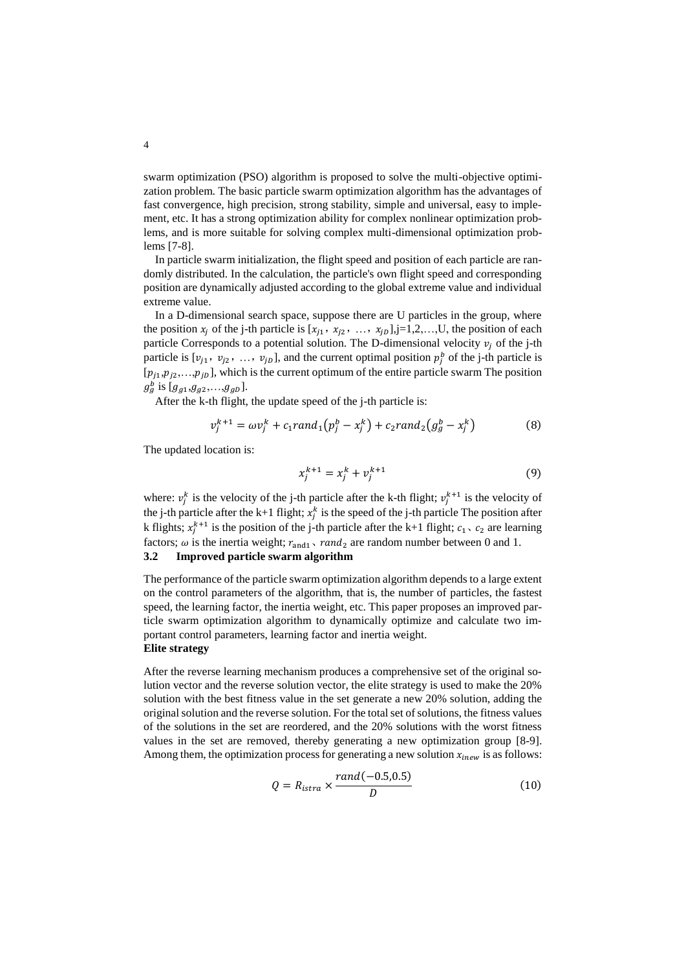swarm optimization (PSO) algorithm is proposed to solve the multi-objective optimization problem. The basic particle swarm optimization algorithm has the advantages of fast convergence, high precision, strong stability, simple and universal, easy to implement, etc. It has a strong optimization ability for complex nonlinear optimization problems, and is more suitable for solving complex multi-dimensional optimization problems [7-8].

In particle swarm initialization, the flight speed and position of each particle are randomly distributed. In the calculation, the particle's own flight speed and corresponding position are dynamically adjusted according to the global extreme value and individual extreme value.

In a D-dimensional search space, suppose there are U particles in the group, where the position  $x_j$  of the j-th particle is  $[x_{j1}, x_{j2}, ..., x_{jD}], j=1,2,...,U$ , the position of each particle Corresponds to a potential solution. The D-dimensional velocity  $v_i$  of the j-th particle is  $[v_{j1}, v_{j2}, ..., v_{jD}]$ , and the current optimal position  $p_j^b$  of the j-th particle is  $[p_{j1},p_{j2},...,p_{jD}]$ , which is the current optimum of the entire particle swarm The position  $g_g^b$  is [ $g_{g1}, g_{g2},...,g_{gD}$ ].

After the k-th flight, the update speed of the j-th particle is:

$$
v_j^{k+1} = \omega v_j^k + c_1 rand_1(p_j^b - x_j^k) + c_2 rand_2(g_g^b - x_j^k)
$$
 (8)

The updated location is:

$$
x_j^{k+1} = x_j^k + v_j^{k+1}
$$
 (9)

where:  $v_j^k$  is the velocity of the j-th particle after the k-th flight;  $v_j^{k+1}$  is the velocity of the j-th particle after the k+1 flight;  $x_j^k$  is the speed of the j-th particle The position after k flights;  $x_j^{k+1}$  is the position of the j-th particle after the k+1 flight;  $c_1$ ,  $c_2$  are learning factors;  $\omega$  is the inertia weight;  $r_{\text{and1}}$ ,  $rand_2$  are random number between 0 and 1.

#### **3.2 Improved particle swarm algorithm**

The performance of the particle swarm optimization algorithm depends to a large extent on the control parameters of the algorithm, that is, the number of particles, the fastest speed, the learning factor, the inertia weight, etc. This paper proposes an improved particle swarm optimization algorithm to dynamically optimize and calculate two important control parameters, learning factor and inertia weight. **Elite strategy**

After the reverse learning mechanism produces a comprehensive set of the original solution vector and the reverse solution vector, the elite strategy is used to make the 20% solution with the best fitness value in the set generate a new 20% solution, adding the original solution and the reverse solution. For the total set of solutions, the fitness values of the solutions in the set are reordered, and the 20% solutions with the worst fitness values in the set are removed, thereby generating a new optimization group [8-9]. Among them, the optimization process for generating a new solution  $x_{\text{inew}}$  is as follows:

$$
Q = R_{istra} \times \frac{rand(-0.5, 0.5)}{D}
$$
 (10)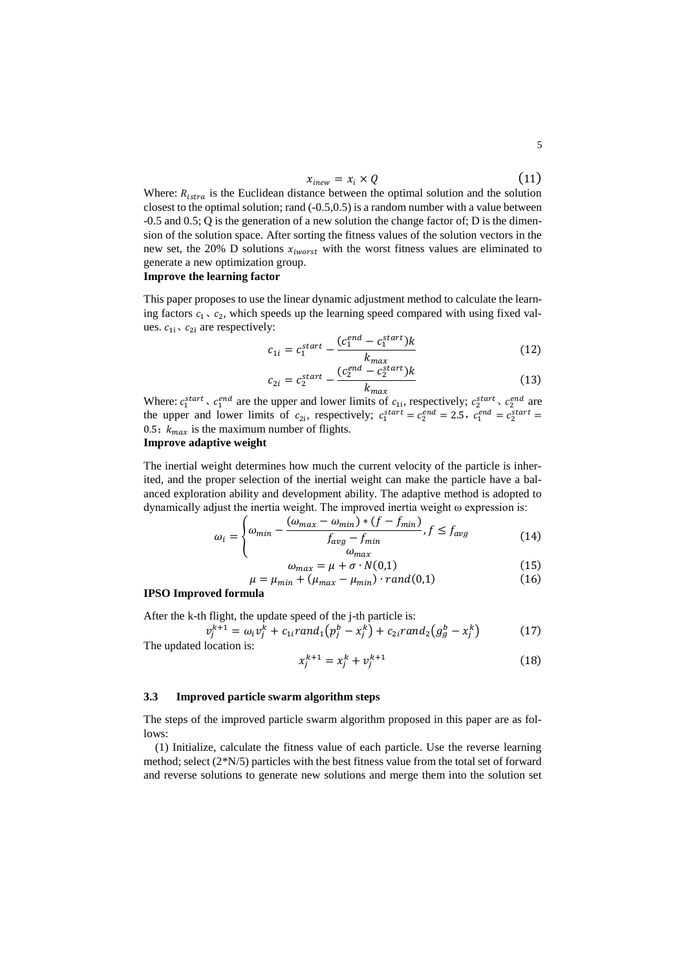$$
x_{\text{inew}} = x_i \times Q \tag{11}
$$

Where:  $R_{istra}$  is the Euclidean distance between the optimal solution and the solution closest to the optimal solution; rand  $(-0.5,0.5)$  is a random number with a value between -0.5 and 0.5; Q is the generation of a new solution the change factor of; D is the dimension of the solution space. After sorting the fitness values of the solution vectors in the new set, the 20% D solutions  $x_{iworst}$  with the worst fitness values are eliminated to generate a new optimization group.

## **Improve the learning factor**

This paper proposes to use the linear dynamic adjustment method to calculate the learning factors  $c_1$ ,  $c_2$ , which speeds up the learning speed compared with using fixed values.  $c_{1i}$ ,  $c_{2i}$  are respectively:

$$
c_{1i} = c_1^{start} - \frac{(c_1^{end} - c_1^{start})k}{k_{max}}
$$
(12)

$$
c_{2i} = c_2^{start} - \frac{(c_2^{end} - c_2^{start})k}{k_{max}}
$$
(13)

Where:  $c_1^{start}$ ,  $c_1^{end}$  are the upper and lower limits of  $c_{1i}$ , respectively;  $c_2^{start}$ ,  $c_2^{end}$  are the upper and lower limits of  $c_{2i}$ , respectively;  $c_1^{start} = c_2^{end} = 2.5$ ,  $c_1^{end} = c_2^{start} = c_2^{start}$ 0.5;  $k_{max}$  is the maximum number of flights.

#### **Improve adaptive weight**

The inertial weight determines how much the current velocity of the particle is inherited, and the proper selection of the inertial weight can make the particle have a balanced exploration ability and development ability. The adaptive method is adopted to dynamically adjust the inertia weight. The improved inertia weight ω expression is:

$$
\omega_i = \begin{cases} \omega_{min} - \frac{(\omega_{max} - \omega_{min}) * (f - f_{min})}{f_{avg} - f_{min}}, f \le f_{avg} \\ \omega_{max} \end{cases}
$$
(14)

$$
\omega_{max} = \mu + \sigma \cdot N(0,1) \tag{15}
$$

$$
\mu = \mu_{min} + (\mu_{max} - \mu_{min}) \cdot rand(0,1) \tag{16}
$$

### **IPSO Improved formula**

After the k-th flight, the update speed of the j-th particle is:  $v_j^{k+1} = \omega_i v_j^k + c_{1i} rand_1(p_j^b - x_j^k) + c_{2i} rand_2(g_g^b - x_j^k)$ 

The updated location is:

$$
x_j^{k+1} = x_j^k + v_j^{k+1}
$$
 (18)

#### **3.3 Improved particle swarm algorithm steps**

The steps of the improved particle swarm algorithm proposed in this paper are as follows:

(1) Initialize, calculate the fitness value of each particle. Use the reverse learning method; select (2\*N/5) particles with the best fitness value from the total set of forward and reverse solutions to generate new solutions and merge them into the solution set

) (17)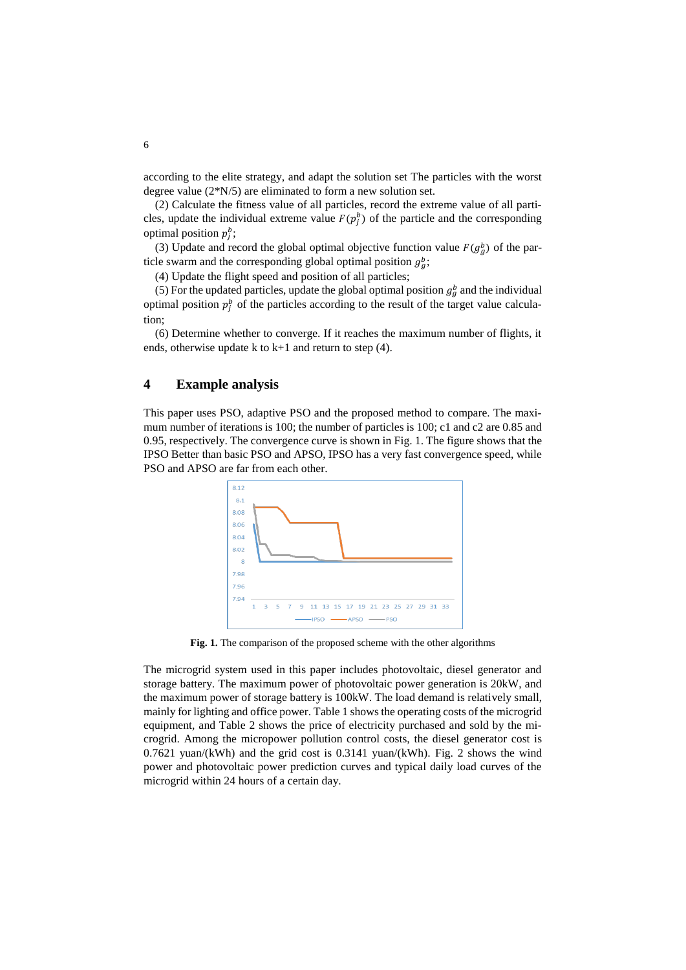according to the elite strategy, and adapt the solution set The particles with the worst degree value (2\*N/5) are eliminated to form a new solution set.

(2) Calculate the fitness value of all particles, record the extreme value of all particles, update the individual extreme value  $F(p_j^b)$  of the particle and the corresponding optimal position  $p_j^b$ ;

(3) Update and record the global optimal objective function value  $F(g_g^b)$  of the particle swarm and the corresponding global optimal position  $g_g^b$ ;

(4) Update the flight speed and position of all particles;

(5) For the updated particles, update the global optimal position  $g_g^b$  and the individual optimal position  $p_j^b$  of the particles according to the result of the target value calculation;

(6) Determine whether to converge. If it reaches the maximum number of flights, it ends, otherwise update k to k+1 and return to step (4).

# **4 Example analysis**

This paper uses PSO, adaptive PSO and the proposed method to compare. The maximum number of iterations is 100; the number of particles is 100; c1 and c2 are 0.85 and 0.95, respectively. The convergence curve is shown in Fig. 1. The figure shows that the IPSO Better than basic PSO and APSO, IPSO has a very fast convergence speed, while PSO and APSO are far from each other.



**Fig. 1.** The comparison of the proposed scheme with the other algorithms

The microgrid system used in this paper includes photovoltaic, diesel generator and storage battery. The maximum power of photovoltaic power generation is 20kW, and the maximum power of storage battery is 100kW. The load demand is relatively small, mainly for lighting and office power. Table 1 shows the operating costs of the microgrid equipment, and Table 2 shows the price of electricity purchased and sold by the microgrid. Among the micropower pollution control costs, the diesel generator cost is  $0.7621$  yuan/(kWh) and the grid cost is  $0.3141$  yuan/(kWh). Fig. 2 shows the wind power and photovoltaic power prediction curves and typical daily load curves of the microgrid within 24 hours of a certain day.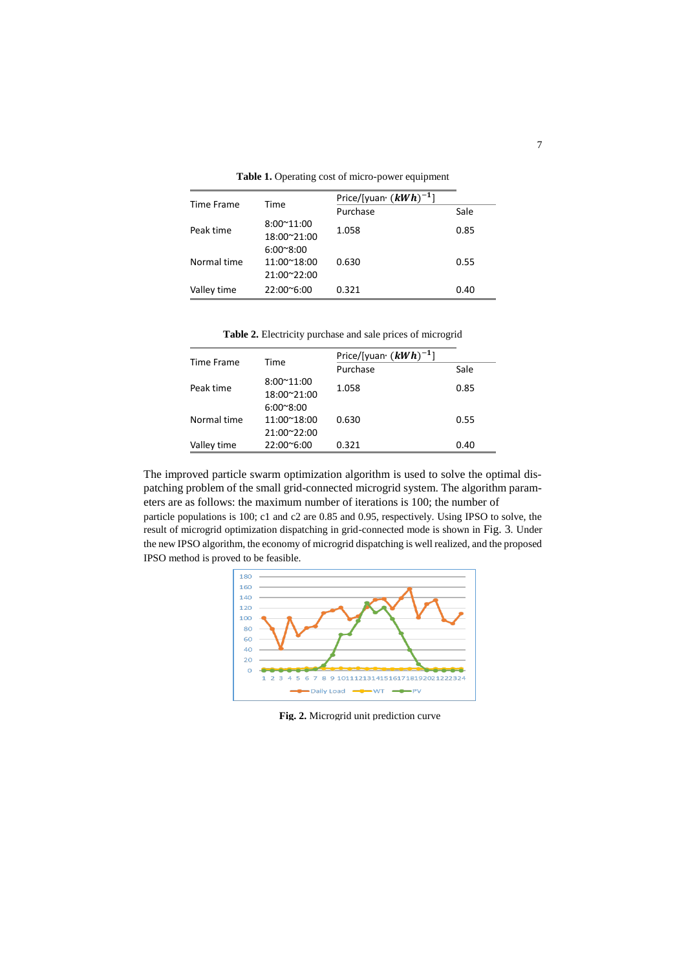|  | Table 1. Operating cost of micro-power equipment |  |
|--|--------------------------------------------------|--|
|  |                                                  |  |

| Time Frame  | Time                                             | Price/[yuan $(kWh)^{-1}$ ] |      |  |
|-------------|--------------------------------------------------|----------------------------|------|--|
|             |                                                  | Purchase                   | Sale |  |
| Peak time   | $8:00^{\sim}11:00$<br>18:00~21:00                | 1.058                      | 0.85 |  |
| Normal time | $6:00^{\circ}8:00$<br>11:00~18:00<br>21:00~22:00 | 0.630                      | 0.55 |  |
| Valley time | 22:00~6:00                                       | 0.321                      | 0.40 |  |

**Table 2.** Electricity purchase and sale prices of microgrid

|             | Time                                             | Price/[yuan $(kWh)^{-1}$ ] |      |  |
|-------------|--------------------------------------------------|----------------------------|------|--|
| Time Frame  |                                                  | Purchase                   | Sale |  |
| Peak time   | 8:00~11:00<br>18:00~21:00                        | 1.058                      | 0.85 |  |
| Normal time | $6:00^{\circ}8:00$<br>11:00~18:00<br>21:00~22:00 | 0.630                      | 0.55 |  |
| Valley time | $22:00^{\circ}6:00$                              | 0.321                      | 0.40 |  |

The improved particle swarm optimization algorithm is used to solve the optimal dispatching problem of the small grid-connected microgrid system. The algorithm parameters are as follows: the maximum number of iterations is 100; the number of particle populations is 100; c1 and c2 are 0.85 and 0.95, respectively. Using IPSO to solve, the

result of microgrid optimization dispatching in grid-connected mode is shown in Fig. 3. Under the new IPSO algorithm, the economy of microgrid dispatching is well realized, and the proposed IPSO method is proved to be feasible.



**Fig. 2.** Microgrid unit prediction curve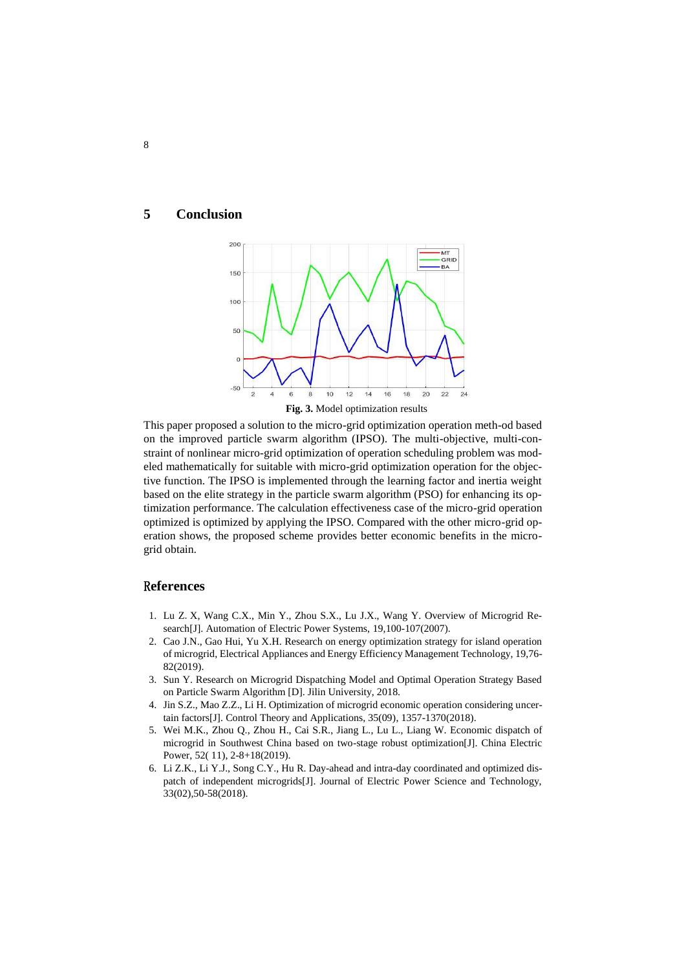#### **5 Conclusion**



This paper proposed a solution to the micro-grid optimization operation meth-od based on the improved particle swarm algorithm (IPSO). The multi-objective, multi-constraint of nonlinear micro-grid optimization of operation scheduling problem was modeled mathematically for suitable with micro-grid optimization operation for the objective function. The IPSO is implemented through the learning factor and inertia weight based on the elite strategy in the particle swarm algorithm (PSO) for enhancing its optimization performance. The calculation effectiveness case of the micro-grid operation optimized is optimized by applying the IPSO. Compared with the other micro-grid operation shows, the proposed scheme provides better economic benefits in the microgrid obtain.

# R**eferences**

- 1. Lu Z.X, Wang C.X., Min Y., Zhou S.X., Lu J.X., Wang Y. Overview of Microgrid Research[J]. Automation of Electric Power Systems, 19,100-107(2007).
- 2. Cao J.N., Gao Hui, Yu X.H. Research on energy optimization strategy for island operation of microgrid, Electrical Appliances and Energy Efficiency Management Technology, 19,76- 82(2019).
- 3. Sun Y. Research on Microgrid Dispatching Model and Optimal Operation Strategy Based on Particle Swarm Algorithm [D]. Jilin University, 2018.
- 4. Jin S.Z., Mao Z.Z., Li H. Optimization of microgrid economic operation considering uncertain factors[J]. Control Theory and Applications, 35(09), 1357-1370(2018).
- 5. Wei M.K., Zhou Q., Zhou H., Cai S.R., Jiang L., Lu L., Liang W. Economic dispatch of microgrid in Southwest China based on two-stage robust optimization[J]. China Electric Power, 52( 11), 2-8+18(2019).
- 6. Li Z.K., Li Y.J., Song C.Y., Hu R. Day-ahead and intra-day coordinated and optimized dispatch of independent microgrids[J]. Journal of Electric Power Science and Technology, 33(02),50-58(2018).